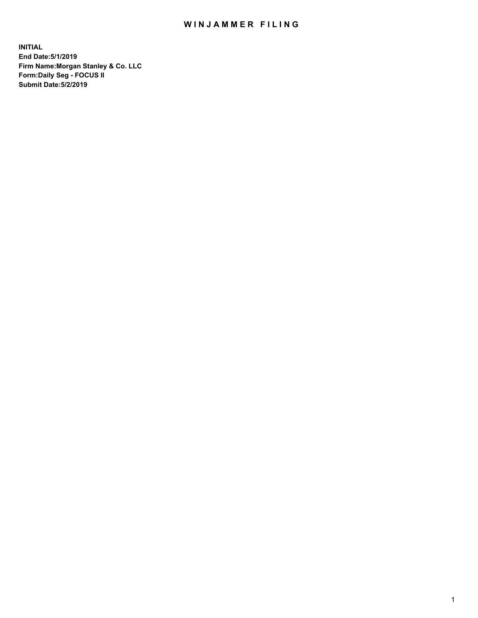## WIN JAMMER FILING

**INITIAL End Date:5/1/2019 Firm Name:Morgan Stanley & Co. LLC Form:Daily Seg - FOCUS II Submit Date:5/2/2019**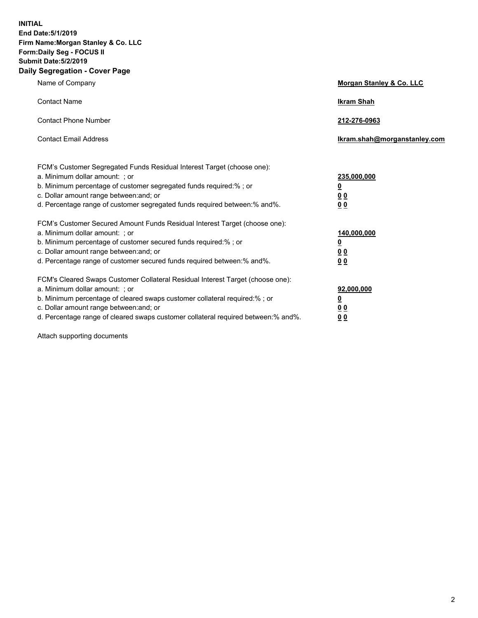**INITIAL End Date:5/1/2019 Firm Name:Morgan Stanley & Co. LLC Form:Daily Seg - FOCUS II Submit Date:5/2/2019 Daily Segregation - Cover Page**

| Name of Company                                                                                                                                                                                                                                                                                                                | Morgan Stanley & Co. LLC                                    |
|--------------------------------------------------------------------------------------------------------------------------------------------------------------------------------------------------------------------------------------------------------------------------------------------------------------------------------|-------------------------------------------------------------|
| <b>Contact Name</b>                                                                                                                                                                                                                                                                                                            | <b>Ikram Shah</b>                                           |
| <b>Contact Phone Number</b>                                                                                                                                                                                                                                                                                                    | 212-276-0963                                                |
| <b>Contact Email Address</b>                                                                                                                                                                                                                                                                                                   | Ikram.shah@morganstanley.com                                |
| FCM's Customer Segregated Funds Residual Interest Target (choose one):<br>a. Minimum dollar amount: ; or<br>b. Minimum percentage of customer segregated funds required:% ; or<br>c. Dollar amount range between: and; or<br>d. Percentage range of customer segregated funds required between:% and%.                         | 235,000,000<br><u>0</u><br>0 <sub>0</sub><br>00             |
| FCM's Customer Secured Amount Funds Residual Interest Target (choose one):<br>a. Minimum dollar amount: ; or<br>b. Minimum percentage of customer secured funds required:% ; or<br>c. Dollar amount range between: and; or<br>d. Percentage range of customer secured funds required between:% and%.                           | 140,000,000<br><u>0</u><br>0 <sub>0</sub><br>0 <sub>0</sub> |
| FCM's Cleared Swaps Customer Collateral Residual Interest Target (choose one):<br>a. Minimum dollar amount: ; or<br>b. Minimum percentage of cleared swaps customer collateral required:% ; or<br>c. Dollar amount range between: and; or<br>d. Percentage range of cleared swaps customer collateral required between:% and%. | 92,000,000<br><u>0</u><br>0 Q<br>0 <sub>0</sub>             |

Attach supporting documents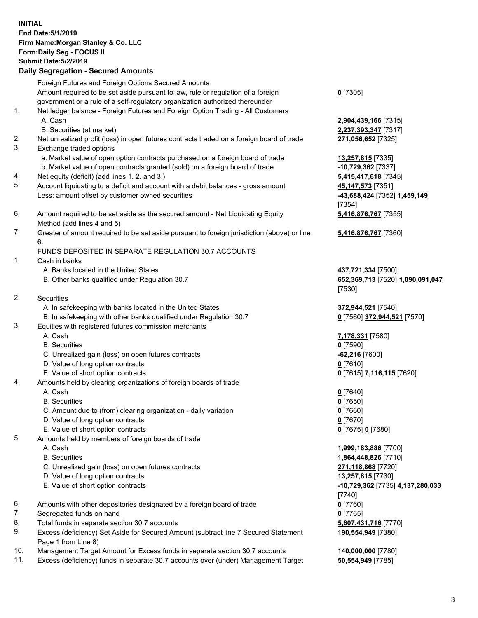| <b>INITIAL</b> | End Date: 5/1/2019<br>Firm Name: Morgan Stanley & Co. LLC<br>Form: Daily Seg - FOCUS II<br><b>Submit Date: 5/2/2019</b><br><b>Daily Segregation - Secured Amounts</b> |                                            |
|----------------|-----------------------------------------------------------------------------------------------------------------------------------------------------------------------|--------------------------------------------|
|                | Foreign Futures and Foreign Options Secured Amounts                                                                                                                   |                                            |
|                | Amount required to be set aside pursuant to law, rule or regulation of a foreign<br>government or a rule of a self-regulatory organization authorized thereunder      | $0$ [7305]                                 |
| 1.             | Net ledger balance - Foreign Futures and Foreign Option Trading - All Customers                                                                                       |                                            |
|                | A. Cash                                                                                                                                                               | 2,904,439,166 [7315]                       |
|                | B. Securities (at market)                                                                                                                                             | 2,237,393,347 [7317]                       |
| 2.<br>3.       | Net unrealized profit (loss) in open futures contracts traded on a foreign board of trade<br>Exchange traded options                                                  | 271,056,652 [7325]                         |
|                | a. Market value of open option contracts purchased on a foreign board of trade                                                                                        | 13,257,815 [7335]                          |
|                | b. Market value of open contracts granted (sold) on a foreign board of trade                                                                                          | $-10,729,362$ [7337]                       |
| 4.             | Net equity (deficit) (add lines 1.2. and 3.)                                                                                                                          | 5,415,417,618 [7345]                       |
| 5.             | Account liquidating to a deficit and account with a debit balances - gross amount                                                                                     | 45, 147, 573 [7351]                        |
|                | Less: amount offset by customer owned securities                                                                                                                      | -43,688,424 [7352] 1,459,149               |
| 6.             | Amount required to be set aside as the secured amount - Net Liquidating Equity                                                                                        | [7354]<br>5,416,876,767 [7355]             |
|                | Method (add lines 4 and 5)                                                                                                                                            |                                            |
| 7.             | Greater of amount required to be set aside pursuant to foreign jurisdiction (above) or line                                                                           | 5,416,876,767 [7360]                       |
|                | 6.                                                                                                                                                                    |                                            |
|                | FUNDS DEPOSITED IN SEPARATE REGULATION 30.7 ACCOUNTS                                                                                                                  |                                            |
| 1.             | Cash in banks<br>A. Banks located in the United States                                                                                                                | 437,721,334 [7500]                         |
|                | B. Other banks qualified under Regulation 30.7                                                                                                                        | 652,369,713 [7520] 1,090,091,047           |
|                |                                                                                                                                                                       | [7530]                                     |
| 2.             | Securities                                                                                                                                                            |                                            |
|                | A. In safekeeping with banks located in the United States                                                                                                             | 372,944,521 [7540]                         |
|                | B. In safekeeping with other banks qualified under Regulation 30.7                                                                                                    | 0 [7560] 372,944,521 [7570]                |
| 3.             | Equities with registered futures commission merchants<br>A. Cash                                                                                                      | 7,178,331 [7580]                           |
|                | <b>B.</b> Securities                                                                                                                                                  | $0$ [7590]                                 |
|                | C. Unrealized gain (loss) on open futures contracts                                                                                                                   | $-62,216$ [7600]                           |
|                | D. Value of long option contracts                                                                                                                                     | $0$ [7610]                                 |
|                | E. Value of short option contracts                                                                                                                                    | 0 [7615] 7,116,115 [7620]                  |
| 4.             | Amounts held by clearing organizations of foreign boards of trade                                                                                                     |                                            |
|                | A. Cash<br><b>B.</b> Securities                                                                                                                                       | $0$ [7640]<br>$0$ [7650]                   |
|                | C. Amount due to (from) clearing organization - daily variation                                                                                                       | $0$ [7660]                                 |
|                | D. Value of long option contracts                                                                                                                                     | $0$ [7670]                                 |
|                | E. Value of short option contracts                                                                                                                                    | 0 [7675] 0 [7680]                          |
| 5.             | Amounts held by members of foreign boards of trade                                                                                                                    |                                            |
|                | A. Cash                                                                                                                                                               | 1,999,183,886 [7700]                       |
|                | <b>B.</b> Securities<br>C. Unrealized gain (loss) on open futures contracts                                                                                           | 1,864,448,826 [7710]<br>271,118,868 [7720] |
|                | D. Value of long option contracts                                                                                                                                     | 13,257,815 [7730]                          |
|                | E. Value of short option contracts                                                                                                                                    | -10,729,362 [7735] 4,137,280,033           |
|                |                                                                                                                                                                       | [7740]                                     |
| 6.             | Amounts with other depositories designated by a foreign board of trade                                                                                                | $0$ [7760]                                 |
| 7.             | Segregated funds on hand                                                                                                                                              | $0$ [7765]                                 |
| 8.<br>9.       | Total funds in separate section 30.7 accounts<br>Excess (deficiency) Set Aside for Secured Amount (subtract line 7 Secured Statement                                  | 5,607,431,716 [7770]<br>190,554,949 [7380] |
|                | Page 1 from Line 8)                                                                                                                                                   |                                            |
|                |                                                                                                                                                                       |                                            |

- 10. Management Target Amount for Excess funds in separate section 30.7 accounts **140,000,000** [7780]
- 11. Excess (deficiency) funds in separate 30.7 accounts over (under) Management Target **50,554,949** [7785]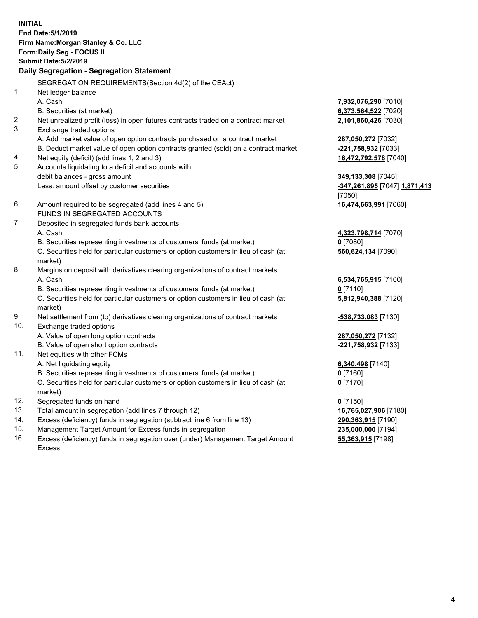**INITIAL End Date:5/1/2019 Firm Name:Morgan Stanley & Co. LLC Form:Daily Seg - FOCUS II Submit Date:5/2/2019 Daily Segregation - Segregation Statement** SEGREGATION REQUIREMENTS(Section 4d(2) of the CEAct) 1. Net ledger balance A. Cash **7,932,076,290** [7010] B. Securities (at market) **6,373,564,522** [7020] 2. Net unrealized profit (loss) in open futures contracts traded on a contract market **2,101,860,426** [7030] 3. Exchange traded options A. Add market value of open option contracts purchased on a contract market **287,050,272** [7032] B. Deduct market value of open option contracts granted (sold) on a contract market **-221,758,932** [7033] 4. Net equity (deficit) (add lines 1, 2 and 3) **16,472,792,578** [7040] 5. Accounts liquidating to a deficit and accounts with debit balances - gross amount **349,133,308** [7045] Less: amount offset by customer securities **-347,261,895** [7047] **1,871,413** [7050] 6. Amount required to be segregated (add lines 4 and 5) **16,474,663,991** [7060] FUNDS IN SEGREGATED ACCOUNTS 7. Deposited in segregated funds bank accounts A. Cash **4,323,798,714** [7070] B. Securities representing investments of customers' funds (at market) **0** [7080] C. Securities held for particular customers or option customers in lieu of cash (at market) **560,624,134** [7090] 8. Margins on deposit with derivatives clearing organizations of contract markets A. Cash **6,534,765,915** [7100] B. Securities representing investments of customers' funds (at market) **0** [7110] C. Securities held for particular customers or option customers in lieu of cash (at market) **5,812,940,388** [7120] 9. Net settlement from (to) derivatives clearing organizations of contract markets **-538,733,083** [7130] 10. Exchange traded options A. Value of open long option contracts **287,050,272** [7132] B. Value of open short option contracts **-221,758,932** [7133] 11. Net equities with other FCMs A. Net liquidating equity **6,340,498** [7140] B. Securities representing investments of customers' funds (at market) **0** [7160] C. Securities held for particular customers or option customers in lieu of cash (at market) **0** [7170] 12. Segregated funds on hand **0** [7150] 13. Total amount in segregation (add lines 7 through 12) **16,765,027,906** [7180] 14. Excess (deficiency) funds in segregation (subtract line 6 from line 13) **290,363,915** [7190]

- 15. Management Target Amount for Excess funds in segregation **235,000,000** [7194]
- 16. Excess (deficiency) funds in segregation over (under) Management Target Amount Excess

**55,363,915** [7198]